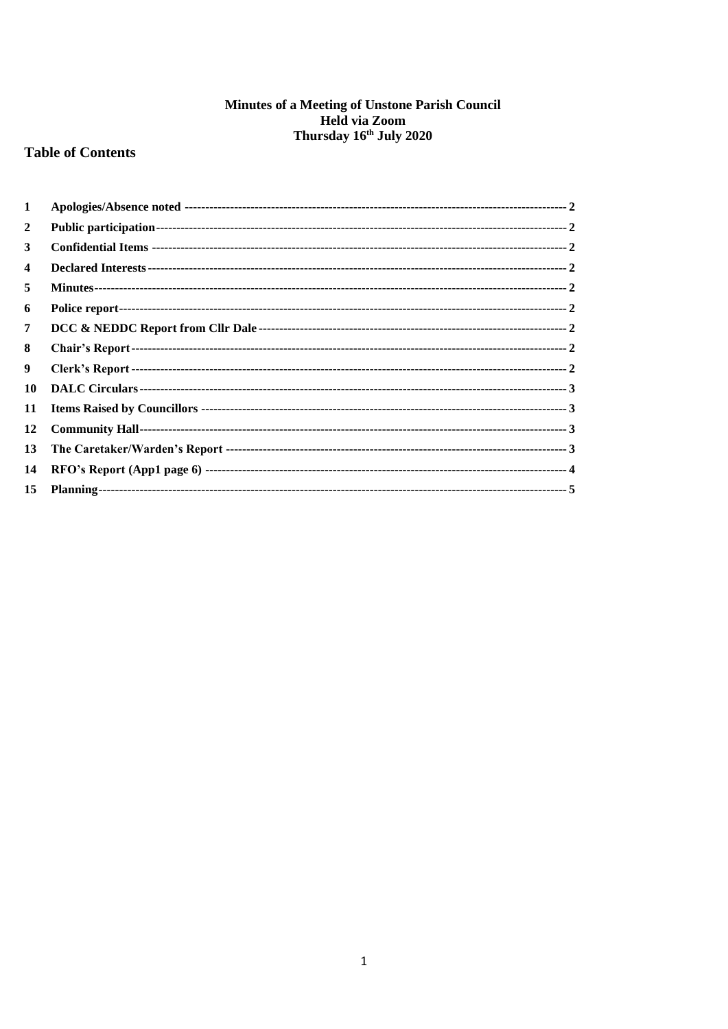# **Minutes of a Meeting of Unstone Parish Council<br>Held via Zoom<br>Thursday 16<sup>th</sup> July 2020**

## **Table of Contents**

| $\mathbf{1}$ |  |
|--------------|--|
| 2            |  |
| 3            |  |
| 4            |  |
| 5            |  |
| 6            |  |
| 7            |  |
| 8            |  |
| 9            |  |
| 10           |  |
| 11           |  |
| 12           |  |
| 13           |  |
| 14           |  |
| 15           |  |
|              |  |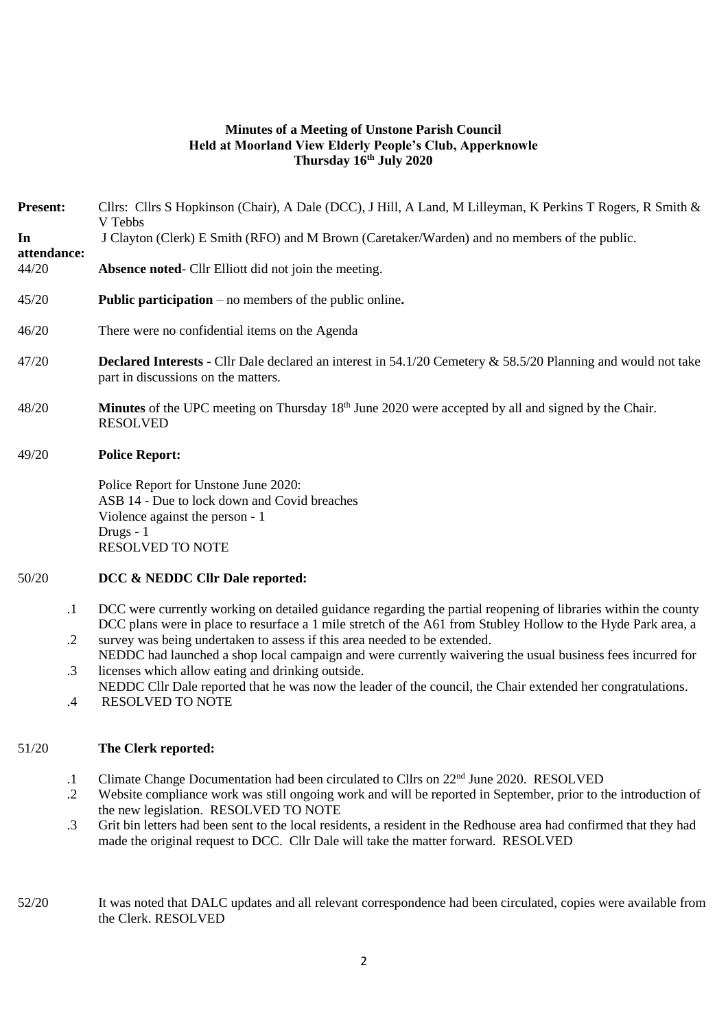## **Minutes of a Meeting of Unstone Parish Council Held at Moorland View Elderly People's Club, Apperknowle Thursday 16th July 2020**

| <b>Present:</b>      | Cllrs: Cllrs S Hopkinson (Chair), A Dale (DCC), J Hill, A Land, M Lilleyman, K Perkins T Rogers, R Smith &<br>V Tebbs                                                                                                           |  |  |  |  |  |
|----------------------|---------------------------------------------------------------------------------------------------------------------------------------------------------------------------------------------------------------------------------|--|--|--|--|--|
| In                   | J Clayton (Clerk) E Smith (RFO) and M Brown (Caretaker/Warden) and no members of the public.                                                                                                                                    |  |  |  |  |  |
| attendance:<br>44/20 | Absence noted- Cllr Elliott did not join the meeting.                                                                                                                                                                           |  |  |  |  |  |
| 45/20                | <b>Public participation</b> – no members of the public online.                                                                                                                                                                  |  |  |  |  |  |
| 46/20                | There were no confidential items on the Agenda                                                                                                                                                                                  |  |  |  |  |  |
| 47/20                | <b>Declared Interests</b> - Cllr Dale declared an interest in 54.1/20 Cemetery & 58.5/20 Planning and would not take<br>part in discussions on the matters.                                                                     |  |  |  |  |  |
| 48/20                | Minutes of the UPC meeting on Thursday 18 <sup>th</sup> June 2020 were accepted by all and signed by the Chair.<br><b>RESOLVED</b>                                                                                              |  |  |  |  |  |
| 49/20                | <b>Police Report:</b>                                                                                                                                                                                                           |  |  |  |  |  |
|                      | Police Report for Unstone June 2020:<br>ASB 14 - Due to lock down and Covid breaches<br>Violence against the person - 1<br>Drugs - 1<br><b>RESOLVED TO NOTE</b>                                                                 |  |  |  |  |  |
| 50/20                | DCC & NEDDC Cllr Dale reported:                                                                                                                                                                                                 |  |  |  |  |  |
| $\cdot$ 1            | DCC were currently working on detailed guidance regarding the partial reopening of libraries within the county<br>DCC plans were in place to resurface a 1 mile stretch of the A61 from Stubley Hollow to the Hyde Park area, a |  |  |  |  |  |
| $\cdot$ .2           | survey was being undertaken to assess if this area needed to be extended.<br>NEDDC had launched a shop local campaign and were currently waivering the usual business fees incurred for                                         |  |  |  |  |  |
| $\cdot$ 3            | licenses which allow eating and drinking outside.<br>NEDDC Cllr Dale reported that he was now the leader of the council, the Chair extended her congratulations.                                                                |  |  |  |  |  |
| $.4\,$               | <b>RESOLVED TO NOTE</b>                                                                                                                                                                                                         |  |  |  |  |  |
| 51/20                | The Clerk reported:                                                                                                                                                                                                             |  |  |  |  |  |

- .1 Climate Change Documentation had been circulated to Cllrs on 22nd June 2020. RESOLVED
- .2 Website compliance work was still ongoing work and will be reported in September, prior to the introduction of the new legislation. RESOLVED TO NOTE
- .3 Grit bin letters had been sent to the local residents, a resident in the Redhouse area had confirmed that they had made the original request to DCC. Cllr Dale will take the matter forward. RESOLVED
- 52/20 It was noted that DALC updates and all relevant correspondence had been circulated, copies were available from the Clerk. RESOLVED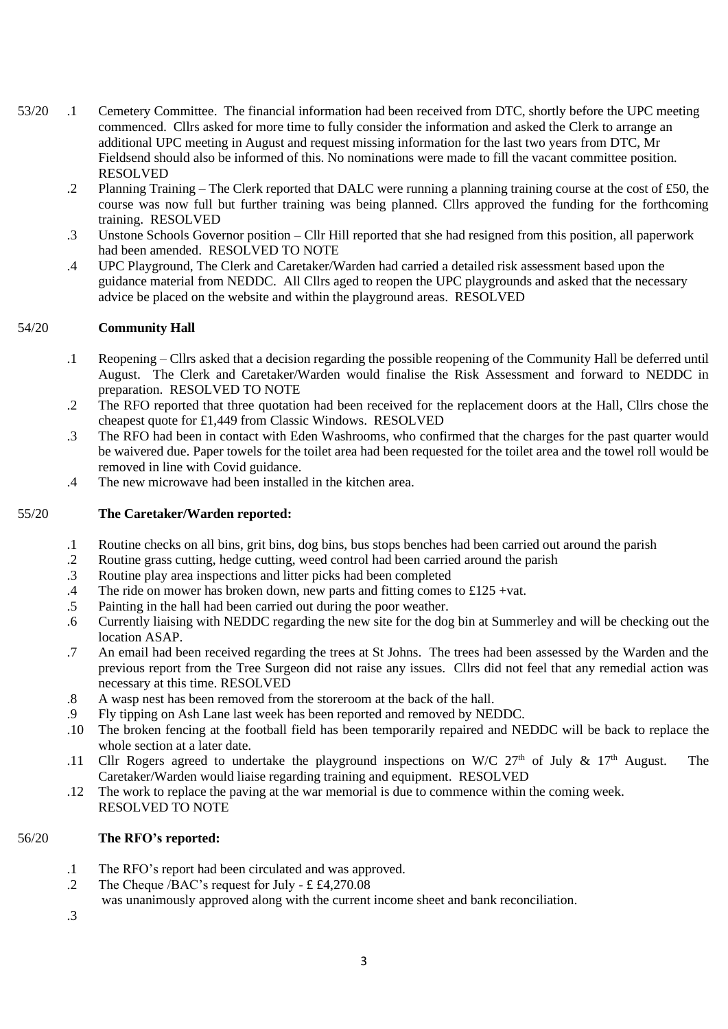- 53/20 .1 Cemetery Committee. The financial information had been received from DTC, shortly before the UPC meeting commenced. Cllrs asked for more time to fully consider the information and asked the Clerk to arrange an additional UPC meeting in August and request missing information for the last two years from DTC, Mr Fieldsend should also be informed of this. No nominations were made to fill the vacant committee position. RESOLVED
	- .2 Planning Training The Clerk reported that DALC were running a planning training course at the cost of £50, the course was now full but further training was being planned. Cllrs approved the funding for the forthcoming training. RESOLVED
	- .3 Unstone Schools Governor position Cllr Hill reported that she had resigned from this position, all paperwork had been amended. RESOLVED TO NOTE
	- .4 UPC Playground, The Clerk and Caretaker/Warden had carried a detailed risk assessment based upon the guidance material from NEDDC. All Cllrs aged to reopen the UPC playgrounds and asked that the necessary advice be placed on the website and within the playground areas. RESOLVED

#### 54/20 **Community Hall**

- .1 Reopening – Cllrs asked that a decision regarding the possible reopening of the Community Hall be deferred until August. The Clerk and Caretaker/Warden would finalise the Risk Assessment and forward to NEDDC in preparation. RESOLVED TO NOTE
- .2 The RFO reported that three quotation had been received for the replacement doors at the Hall, Cllrs chose the cheapest quote for £1,449 from Classic Windows. RESOLVED
- .3 The RFO had been in contact with Eden Washrooms, who confirmed that the charges for the past quarter would be waivered due. Paper towels for the toilet area had been requested for the toilet area and the towel roll would be removed in line with Covid guidance.
- .4 The new microwave had been installed in the kitchen area.

#### 55/20 **The Caretaker/Warden reported:**

- .1 Routine checks on all bins, grit bins, dog bins, bus stops benches had been carried out around the parish
- .2 Routine grass cutting, hedge cutting, weed control had been carried around the parish
- .3 Routine play area inspections and litter picks had been completed
- .4 The ride on mower has broken down, new parts and fitting comes to  $£125 + vat$ .
- .5 Painting in the hall had been carried out during the poor weather.
- .6 Currently liaising with NEDDC regarding the new site for the dog bin at Summerley and will be checking out the location ASAP.
- .7 An email had been received regarding the trees at St Johns. The trees had been assessed by the Warden and the previous report from the Tree Surgeon did not raise any issues. Cllrs did not feel that any remedial action was necessary at this time. RESOLVED
- .8 A wasp nest has been removed from the storeroom at the back of the hall.
- .9 Fly tipping on Ash Lane last week has been reported and removed by NEDDC.
- .10 The broken fencing at the football field has been temporarily repaired and NEDDC will be back to replace the whole section at a later date.
- .11 Cllr Rogers agreed to undertake the playground inspections on W/C  $27<sup>th</sup>$  of July &  $17<sup>th</sup>$  August. The Caretaker/Warden would liaise regarding training and equipment. RESOLVED
- .12 The work to replace the paving at the war memorial is due to commence within the coming week. RESOLVED TO NOTE

### 56/20 **The RFO's reported:**

- .1 The RFO's report had been circulated and was approved.
- .2 The Cheque /BAC's request for July - £  $£4,270.08$
- was unanimously approved along with the current income sheet and bank reconciliation.

.3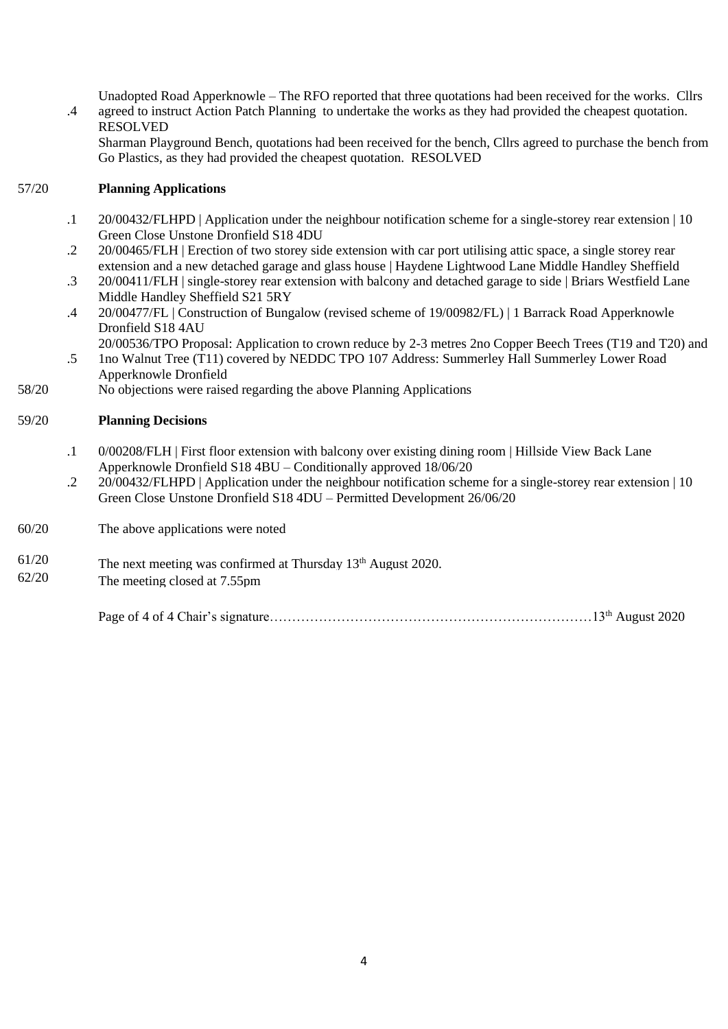Unadopted Road Apperknowle – The RFO reported that three quotations had been received for the works. Cllrs agreed to instruct Action Patch Planning to undertake the works as they had provided the cheapest quotation. RESOLVED

Sharman Playground Bench, quotations had been received for the bench, Cllrs agreed to purchase the bench from Go Plastics, as they had provided the cheapest quotation. RESOLVED

#### 57/20 **Planning Applications**

.4

- .1 20/00432/FLHPD | Application under the neighbour notification scheme for a single-storey rear extension | 10 Green Close Unstone Dronfield S18 4DU
- .2 20/00465/FLH | Erection of two storey side extension with car port utilising attic space, a single storey rear extension and a new detached garage and glass house | Haydene Lightwood Lane Middle Handley Sheffield
- .3 20/00411/FLH | single-storey rear extension with balcony and detached garage to side | Briars Westfield Lane Middle Handley Sheffield S21 5RY
- .4 20/00477/FL | Construction of Bungalow (revised scheme of 19/00982/FL) | 1 Barrack Road Apperknowle Dronfield S18 4AU
- .5 20/00536/TPO Proposal: Application to crown reduce by 2-3 metres 2no Copper Beech Trees (T19 and T20) and 1no Walnut Tree (T11) covered by NEDDC TPO 107 Address: Summerley Hall Summerley Lower Road Apperknowle Dronfield
- 58/20 No objections were raised regarding the above Planning Applications

#### 59/20 **Planning Decisions**

- .1 0/00208/FLH | First floor extension with balcony over existing dining room | Hillside View Back Lane Apperknowle Dronfield S18 4BU – Conditionally approved 18/06/20
- .2 20/00432/FLHPD | Application under the neighbour notification scheme for a single-storey rear extension | 10 Green Close Unstone Dronfield S18 4DU – Permitted Development 26/06/20

60/20 The above applications were noted

 $61/20$  The next meeting was confirmed at Thursday  $13<sup>th</sup>$  August 2020.

62/20 The meeting closed at 7.55pm

Page of 4 of 4 Chair's signature………………………………………………………………13th August 2020